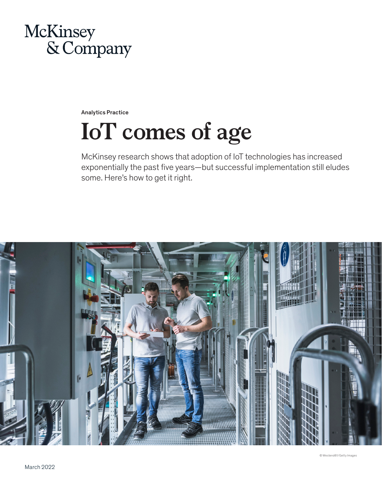

Analytics Practice

# **IoT comes of age**

McKinsey research shows that adoption of IoT technologies has increased exponentially the past five years—but successful implementation still eludes some. Here's how to get it right.



© Westend61/Getty Images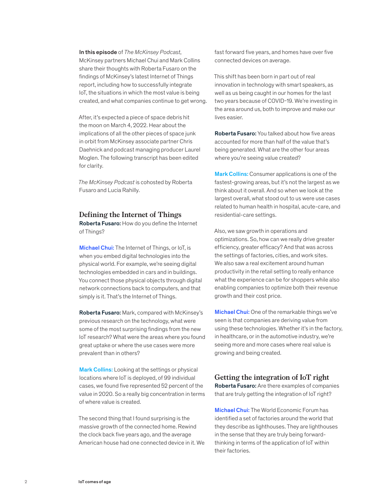In this episode of *The McKinsey Podcast*, McKinsey partners Michael Chui and Mark Collins share their thoughts with Roberta Fusaro on the findings of McKinsey's latest Internet of Things report, including how to successfully integrate IoT, the situations in which the most value is being created, and what companies continue to get wrong.

After, it's expected a piece of space debris hit the moon on March 4, 2022. Hear about the implications of all the other pieces of space junk in orbit from McKinsey associate partner Chris Daehnick and podcast managing producer Laurel Moglen. The following transcript has been edited for clarity.

*The McKinsey Podcast* is cohosted by Roberta Fusaro and Lucia Rahilly.

## **Defining the Internet of Things**

Roberta Fusaro: How do you define the Internet of Things?

Michael Chui: The Internet of Things, or IoT, is when you embed digital technologies into the physical world. For example, we're seeing digital technologies embedded in cars and in buildings. You connect those physical objects through digital network connections back to computers, and that simply is it. That's the Internet of Things.

Roberta Fusaro: Mark, compared with McKinsey's previous research on the technology, what were some of the most surprising findings from the new IoT research? What were the areas where you found great uptake or where the use cases were more prevalent than in others?

Mark Collins: Looking at the settings or physical locations where IoT is deployed, of 99 individual cases, we found five represented 52 percent of the value in 2020. So a really big concentration in terms of where value is created.

The second thing that I found surprising is the massive growth of the connected home. Rewind the clock back five years ago, and the average American house had one connected device in it. We fast forward five years, and homes have over five connected devices on average.

This shift has been born in part out of real innovation in technology with smart speakers, as well as us being caught in our homes for the last two years because of COVID-19. We're investing in the area around us, both to improve and make our lives easier.

Roberta Fusaro: You talked about how five areas accounted for more than half of the value that's being generated. What are the other four areas where you're seeing value created?

Mark Collins: Consumer applications is one of the fastest-growing areas, but it's not the largest as we think about it overall. And so when we look at the largest overall, what stood out to us were use cases related to human health in hospital, acute-care, and residential-care settings.

Also, we saw growth in operations and optimizations. So, how can we really drive greater efficiency, greater efficacy? And that was across the settings of factories, cities, and work sites. We also saw a real excitement around human productivity in the retail setting to really enhance what the experience can be for shoppers while also enabling companies to optimize both their revenue growth and their cost price.

Michael Chui: One of the remarkable things we've seen is that companies are deriving value from using these technologies. Whether it's in the factory, in healthcare, or in the automotive industry, we're seeing more and more cases where real value is growing and being created.

## **Getting the integration of IoT right**

Roberta Fusaro: Are there examples of companies that are truly getting the integration of IoT right?

Michael Chui: The World Economic Forum has identified a set of factories around the world that they describe as lighthouses. They are lighthouses in the sense that they are truly being forwardthinking in terms of the application of IoT within their factories.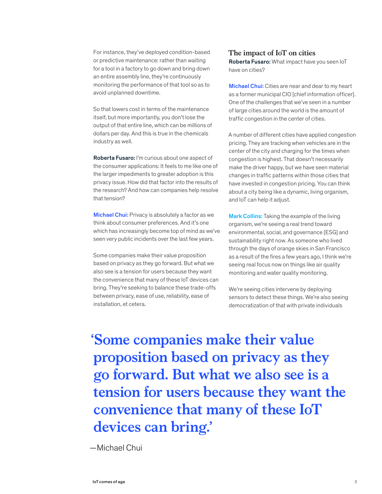For instance, they've deployed condition-based or predictive maintenance: rather than waiting for a tool in a factory to go down and bring down an entire assembly line, they're continuously monitoring the performance of that tool so as to avoid unplanned downtime.

So that lowers cost in terms of the maintenance itself, but more importantly, you don't lose the output of that entire line, which can be millions of dollars per day. And this is true in the chemicals industry as well.

Roberta Fusaro: I'm curious about one aspect of the consumer applications: It feels to me like one of the larger impediments to greater adoption is this privacy issue. How did that factor into the results of the research? And how can companies help resolve that tension?

Michael Chui: Privacy is absolutely a factor as we think about consumer preferences. And it's one which has increasingly become top of mind as we've seen very public incidents over the last few years.

Some companies make their value proposition based on privacy as they go forward. But what we also see is a tension for users because they want the convenience that many of these IoT devices can bring. They're seeking to balance these trade-offs between privacy, ease of use, reliability, ease of installation, et cetera.

## **The impact of IoT on cities**

Roberta Fusaro: What impact have you seen IoT have on cities?

**Michael Chui:** Cities are near and dear to my heart as a former municipal CIO [chief information officer]. One of the challenges that we've seen in a number of large cities around the world is the amount of traffic congestion in the center of cities.

A number of different cities have applied congestion pricing. They are tracking when vehicles are in the center of the city and charging for the times when congestion is highest. That doesn't necessarily make the driver happy, but we have seen material changes in traffic patterns within those cities that have invested in congestion pricing. You can think about a city being like a dynamic, living organism, and IoT can help it adjust.

Mark Collins: Taking the example of the living organism, we're seeing a real trend toward environmental, social, and governance [ESG] and sustainability right now. As someone who lived through the days of orange skies in San Francisco as a result of the fires a few years ago, I think we're seeing real focus now on things like air quality monitoring and water quality monitoring.

We're seeing cities intervene by deploying sensors to detect these things. We're also seeing democratization of that with private individuals

**'Some companies make their value proposition based on privacy as they go forward. But what we also see is a tension for users because they want the convenience that many of these IoT devices can bring.'**

—Michael Chui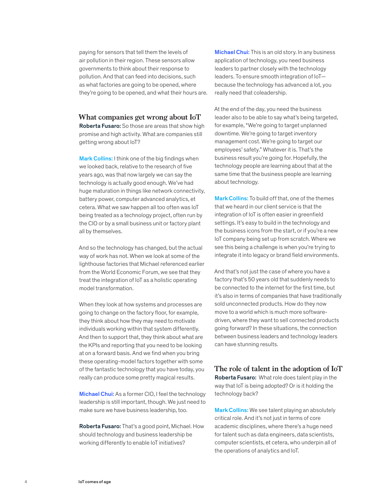paying for sensors that tell them the levels of air pollution in their region. These sensors allow governments to think about their response to pollution. And that can feed into decisions, such as what factories are going to be opened, where they're going to be opened, and what their hours are.

## **What companies get wrong about IoT**

Roberta Fusaro: So those are areas that show high promise and high activity. What are companies still getting wrong about IoT?

Mark Collins: I think one of the big findings when we looked back, relative to the research of five years ago, was that now largely we can say the technology is actually good enough. We've had huge maturation in things like network connectivity, battery power, computer advanced analytics, et cetera. What we saw happen all too often was IoT being treated as a technology project, often run by the CIO or by a small business unit or factory plant all by themselves.

And so the technology has changed, but the actual way of work has not. When we look at some of the lighthouse factories that Michael referenced earlier from the World Economic Forum, we see that they treat the integration of IoT as a holistic operating model transformation.

When they look at how systems and processes are going to change on the factory floor, for example, they think about how they may need to motivate individuals working within that system differently. And then to support that, they think about what are the KPIs and reporting that you need to be looking at on a forward basis. And we find when you bring these operating-model factors together with some of the fantastic technology that you have today, you really can produce some pretty magical results.

Michael Chui: As a former CIO, I feel the technology leadership is still important, though. We just need to make sure we have business leadership, too.

Roberta Fusaro: That's a good point, Michael. How should technology and business leadership be working differently to enable IoT initiatives?

Michael Chui: This is an old story. In any business application of technology, you need business leaders to partner closely with the technology leaders. To ensure smooth integration of IoT because the technology has advanced a lot, you really need that coleadership.

At the end of the day, you need the business leader also to be able to say what's being targeted, for example, "We're going to target unplanned downtime. We're going to target inventory management cost. We're going to target our employees' safety." Whatever it is. That's the business result you're going for. Hopefully, the technology people are learning about that at the same time that the business people are learning about technology.

Mark Collins: To build off that, one of the themes that we heard in our client service is that the integration of IoT is often easier in greenfield settings. It's easy to build in the technology and the business icons from the start, or if you're a new IoT company being set up from scratch. Where we see this being a challenge is when you're trying to integrate it into legacy or brand field environments.

And that's not just the case of where you have a factory that's 50 years old that suddenly needs to be connected to the internet for the first time, but it's also in terms of companies that have traditionally sold unconnected products. How do they now move to a world which is much more softwaredriven, where they want to sell connected products going forward? In these situations, the connection between business leaders and technology leaders can have stunning results.

**The role of talent in the adoption of IoT**  Roberta Fusaro: What role does talent play in the way that IoT is being adopted? Or is it holding the technology back?

Mark Collins: We see talent playing an absolutely critical role. And it's not just in terms of core academic disciplines, where there's a huge need for talent such as data engineers, data scientists, computer scientists, et cetera, who underpin all of the operations of analytics and IoT.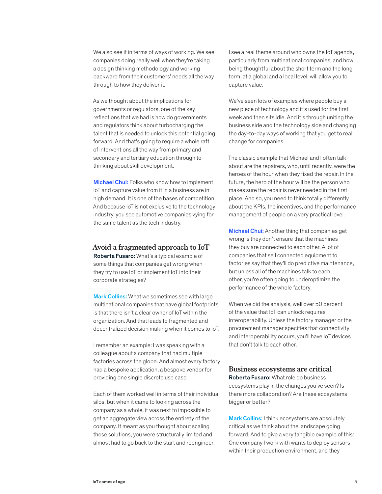We also see it in terms of ways of working. We see companies doing really well when they're taking a design thinking methodology and working backward from their customers' needs all the way through to how they deliver it.

As we thought about the implications for governments or regulators, one of the key reflections that we had is how do governments and regulators think about turbocharging the talent that is needed to unlock this potential going forward. And that's going to require a whole raft of interventions all the way from primary and secondary and tertiary education through to thinking about skill development.

Michael Chui: Folks who know how to implement IoT and capture value from it in a business are in high demand. It is one of the bases of competition. And because IoT is not exclusive to the technology industry, you see automotive companies vying for the same talent as the tech industry.

## **Avoid a fragmented approach to IoT**

Roberta Fusaro: What's a typical example of some things that companies get wrong when they try to use IoT or implement IoT into their corporate strategies?

Mark Collins: What we sometimes see with large multinational companies that have global footprints is that there isn't a clear owner of IoT within the organization. And that leads to fragmented and decentralized decision making when it comes to IoT.

I remember an example: I was speaking with a colleague about a company that had multiple factories across the globe. And almost every factory had a bespoke application, a bespoke vendor for providing one single discrete use case.

Each of them worked well in terms of their individual silos, but when it came to looking across the company as a whole, it was next to impossible to get an aggregate view across the entirety of the company. It meant as you thought about scaling those solutions, you were structurally limited and almost had to go back to the start and reengineer.

I see a real theme around who owns the IoT agenda, particularly from multinational companies, and how being thoughtful about the short term and the long term, at a global and a local level, will allow you to capture value.

We've seen lots of examples where people buy a new piece of technology and it's used for the first week and then sits idle. And it's through uniting the business side and the technology side and changing the day-to-day ways of working that you get to real change for companies.

The classic example that Michael and I often talk about are the repairers, who, until recently, were the heroes of the hour when they fixed the repair. In the future, the hero of the hour will be the person who makes sure the repair is never needed in the first place. And so, you need to think totally differently about the KPIs, the incentives, and the performance management of people on a very practical level.

Michael Chui: Another thing that companies get wrong is they don't ensure that the machines they buy are connected to each other. A lot of companies that sell connected equipment to factories say that they'll do predictive maintenance, but unless all of the machines talk to each other, you're often going to underoptimize the performance of the whole factory.

When we did the analysis, well over 50 percent of the value that IoT can unlock requires interoperability. Unless the factory manager or the procurement manager specifies that connectivity and interoperability occurs, you'll have IoT devices that don't talk to each other.

# **Business ecosystems are critical**

Roberta Fusaro: What role do business ecosystems play in the changes you've seen? Is there more collaboration? Are these ecosystems bigger or better?

Mark Collins: I think ecosystems are absolutely critical as we think about the landscape going forward. And to give a very tangible example of this: One company I work with wants to deploy sensors within their production environment, and they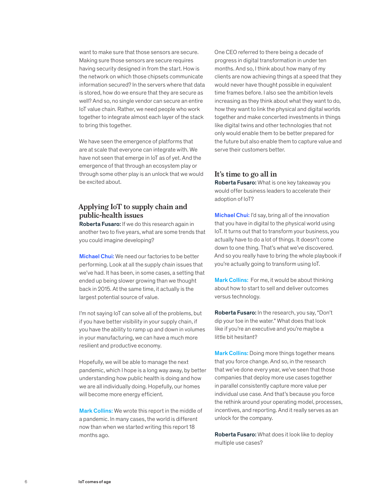want to make sure that those sensors are secure. Making sure those sensors are secure requires having security designed in from the start. How is the network on which those chipsets communicate information secured? In the servers where that data is stored, how do we ensure that they are secure as well? And so, no single vendor can secure an entire IoT value chain. Rather, we need people who work together to integrate almost each layer of the stack to bring this together.

We have seen the emergence of platforms that are at scale that everyone can integrate with. We have not seen that emerge in IoT as of yet. And the emergence of that through an ecosystem play or through some other play is an unlock that we would be excited about.

## **Applying IoT to supply chain and public-health issues**

Roberta Fusaro: If we do this research again in another two to five years, what are some trends that you could imagine developing?

Michael Chui: We need our factories to be better performing. Look at all the supply chain issues that we've had. It has been, in some cases, a setting that ended up being slower growing than we thought back in 2015. At the same time, it actually is the largest potential source of value.

I'm not saying IoT can solve all of the problems, but if you have better visibility in your supply chain, if you have the ability to ramp up and down in volumes in your manufacturing, we can have a much more resilient and productive economy.

Hopefully, we will be able to manage the next pandemic, which I hope is a long way away, by better understanding how public health is doing and how we are all individually doing. Hopefully, our homes will become more energy efficient.

Mark Collins: We wrote this report in the middle of a pandemic. In many cases, the world is different now than when we started writing this report 18 months ago.

One CEO referred to there being a decade of progress in digital transformation in under ten months. And so, I think about how many of my clients are now achieving things at a speed that they would never have thought possible in equivalent time frames before. I also see the ambition levels increasing as they think about what they want to do, how they want to link the physical and digital worlds together and make concerted investments in things like digital twins and other technologies that not only would enable them to be better prepared for the future but also enable them to capture value and serve their customers better.

## **It's time to go all in**

Roberta Fusaro: What is one key takeaway you would offer business leaders to accelerate their adoption of IoT?

Michael Chui: I'd say, bring all of the innovation that you have in digital to the physical world using IoT. It turns out that to transform your business, you actually have to do a lot of things. It doesn't come down to one thing. That's what we've discovered. And so you really have to bring the whole playbook if you're actually going to transform using IoT.

Mark Collins: For me, it would be about thinking about how to start to sell and deliver outcomes versus technology.

Roberta Fusaro: In the research, you say, "Don't dip your toe in the water." What does that look like if you're an executive and you're maybe a little bit hesitant?

Mark Collins: Doing more things together means that you force change. And so, in the research that we've done every year, we've seen that those companies that deploy more use cases together in parallel consistently capture more value per individual use case. And that's because you force the rethink around your operating model, processes, incentives, and reporting. And it really serves as an unlock for the company.

Roberta Fusaro: What does it look like to deploy multiple use cases?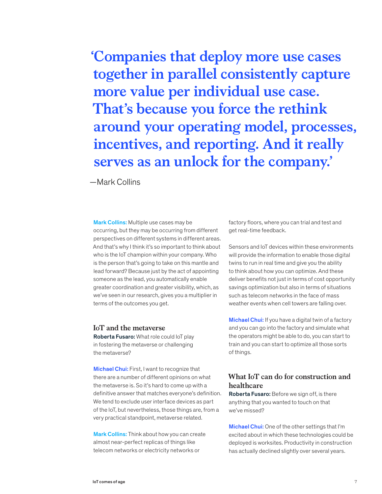**'Companies that deploy more use cases together in parallel consistently capture more value per individual use case. That's because you force the rethink around your operating model, processes, incentives, and reporting. And it really serves as an unlock for the company.'** 

—Mark Collins

Mark Collins: Multiple use cases may be occurring, but they may be occurring from different perspectives on different systems in different areas. And that's why I think it's so important to think about who is the IoT champion within your company. Who is the person that's going to take on this mantle and lead forward? Because just by the act of appointing someone as the lead, you automatically enable greater coordination and greater visibility, which, as we've seen in our research, gives you a multiplier in terms of the outcomes you get.

#### **IoT and the metaverse**

Roberta Fusaro: What role could IoT play in fostering the metaverse or challenging the metaverse?

**Michael Chui:** First, I want to recognize that there are a number of different opinions on what the metaverse is. So it's hard to come up with a definitive answer that matches everyone's definition. We tend to exclude user interface devices as part of the IoT, but nevertheless, those things are, from a very practical standpoint, metaverse related.

Mark Collins: Think about how you can create almost near-perfect replicas of things like telecom networks or electricity networks or

factory floors, where you can trial and test and get real-time feedback.

Sensors and IoT devices within these environments will provide the information to enable those digital twins to run in real time and give you the ability to think about how you can optimize. And these deliver benefits not just in terms of cost opportunity savings optimization but also in terms of situations such as telecom networks in the face of mass weather events when cell towers are falling over.

Michael Chui: If you have a digital twin of a factory and you can go into the factory and simulate what the operators might be able to do, you can start to train and you can start to optimize all those sorts of things.

# **What IoT can do for construction and healthcare**

Roberta Fusaro: Before we sign off, is there anything that you wanted to touch on that we've missed?

Michael Chui: One of the other settings that I'm excited about in which these technologies could be deployed is worksites. Productivity in construction has actually declined slightly over several years.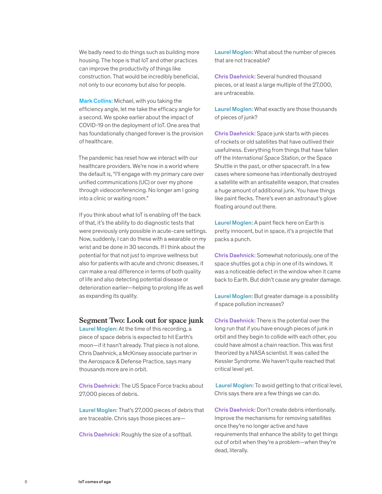We badly need to do things such as building more housing. The hope is that IoT and other practices can improve the productivity of things like construction. That would be incredibly beneficial, not only to our economy but also for people.

Mark Collins: Michael, with you taking the efficiency angle, let me take the efficacy angle for a second. We spoke earlier about the impact of COVID-19 on the deployment of IoT. One area that has foundationally changed forever is the provision of healthcare.

The pandemic has reset how we interact with our healthcare providers. We're now in a world where the default is, "I'll engage with my primary care over unified communications (UC) or over my phone through videoconferencing. No longer am I going into a clinic or waiting room."

If you think about what IoT is enabling off the back of that, it's the ability to do diagnostic tests that were previously only possible in acute-care settings. Now, suddenly, I can do these with a wearable on my wrist and be done in 30 seconds. If I think about the potential for that not just to improve wellness but also for patients with acute and chronic diseases, it can make a real difference in terms of both quality of life and also detecting potential disease or deterioration earlier—helping to prolong life as well as expanding its quality.

## **Segment Two: Look out for space junk**

Laurel Moglen: At the time of this recording, a piece of space debris is expected to hit Earth's moon—if it hasn't already. That piece is not alone. Chris Daehnick, a McKinsey associate partner in the Aerospace & Defense Practice, says many thousands more are in orbit.

Chris Daehnick: The US Space Force tracks about 27,000 pieces of debris.

Laurel Moglen: That's 27,000 pieces of debris that are traceable. Chris says those pieces are—

Chris Daehnick: Roughly the size of a softball.

Laurel Moglen: What about the number of pieces that are not traceable?

Chris Daehnick: Several hundred thousand pieces, or at least a large multiple of the 27,000, are untraceable.

Laurel Moglen: What exactly are those thousands of pieces of junk?

Chris Daehnick: Space junk starts with pieces of rockets or old satellites that have outlived their usefulness. Everything from things that have fallen off the *International Space Station*, or the Space Shuttle in the past, or other spacecraft. In a few cases where someone has intentionally destroyed a satellite with an antisatellite weapon, that creates a huge amount of additional junk. You have things like paint flecks. There's even an astronaut's glove floating around out there.

Laurel Moglen: A paint fleck here on Earth is pretty innocent, but in space, it's a projectile that packs a punch.

Chris Daehnick: Somewhat notoriously, one of the space shuttles got a chip in one of its windows. It was a noticeable defect in the window when it came back to Earth. But didn't cause any greater damage.

Laurel Moglen: But greater damage is a possibility if space pollution increases?

Chris Daehnick: There is the potential over the long run that if you have enough pieces of junk in orbit and they begin to collide with each other, you could have almost a chain reaction. This was first theorized by a NASA scientist. It was called the Kessler Syndrome. We haven't quite reached that critical level yet.

Laurel Moglen: To avoid getting to that critical level, Chris says there are a few things we can do.

Chris Daehnick: Don't create debris intentionally. Improve the mechanisms for removing satellites once they're no longer active and have requirements that enhance the ability to get things out of orbit when they're a problem—when they're dead, literally.